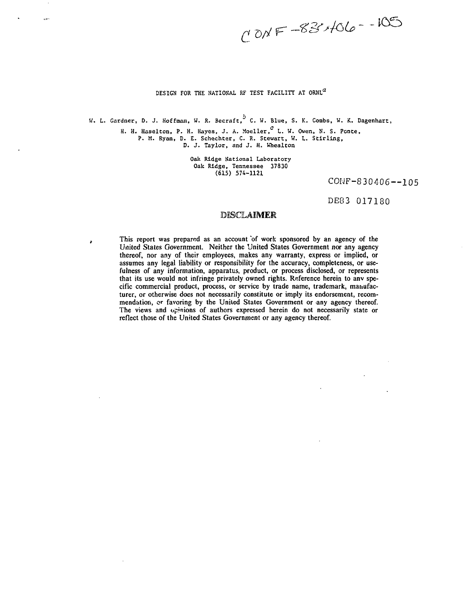$CONF - 831/106 - 105$ 

## DESIGN FOR THE NATIONAL RF TEST FACILITY AT ORNL $^a$

W. L. Gardner, D. J. Hoffman, W. R. Becraft.<sup>5</sup> C. W. Blue, S. K. Comba, W. K. Dagenhart,

H. H. Haselton, P. H. Hayes, J. A. Moeller,  $C$  L. W. Owen, N. S. Ponte, P. M. Ryan, D. E. Schechter, C. R. Stewart, W. L. Stirling, D. J. Taylor, and J. H. Whealcon

> Oak Ridge National Laboratory Oak Ridge, Tennessee 37830 (615) 574-1121

CONF-S30406--105

DE83 017180

## DISCLAIMER

*t*

المردي

This report was prepared as an account of work sponsored by an agency of the United States Government. Neither the United States Government nor any agency thereof, nor any of their employees, makes any warranty, express or implied, or assumes any legal liability or responsibility for the accuracy, completeness, or usefulness of any information, apparatus, product, or process disclosed, or represents that its use would not infringe privately owned rights. Reference herein to anv specific commercial product, process, or service by trade name, trademark, manufacturer, or otherwise does not necessarily constitute or imply its endorsement, recommendation, or favoring by the United States Government or any agency thereof. The views and opinions of authors expressed herein do not necessarily state or reflect those of the United States Government or any agency thereof.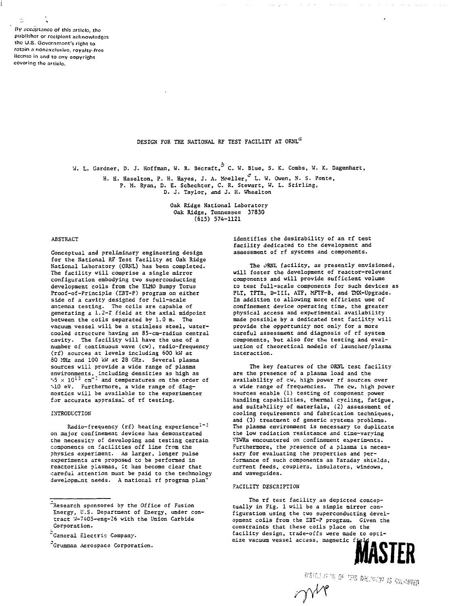By nocoptaoco oi this ortlola, tho publisher or recipient acknowledges tho U.S. Govornmant's right to retain a nonoxclusivo, royalty froo llconso in and to any copyright covering tho orticlo.

é.

# DESIGN FOR THE NATIONAL RF TEST FACILITY AT ORNL $^a$

W. L. Gardner, D. J. Hoffman, W. R. Becraft,  $\overline{C}$  C. W. Blue, S. K. Combs, W. K. Dagenhart,

H. H. Haselton, P. H. Hayes, J. A. Moeller.^ L. W. Owen, N. S. Ponce, P. M. Ryan, D. E. Schechter, C. R. Stewart, W. L. Stirling, D. J. Taylor, and J. H. Whealton

> Oak Ridge National Laboratory Oak Ridge, Tennessee 37830 (615) 574-1121

### ABSTRACT

Conceptual and preliminary engineering design for the National RF Test Facility at Oak Ridge National Laboratory (ORNL) has been completed. The facility will comprise a single mirror configuration embodying two superconducting development coils from the ELMO Bumpy Torus Proof-of-Principle (EBT-P) program on either side of a cavity designed for full-scale antenna testing. The coils are capable of generating a 1.2-T field at the axial midpoint between the coils separated by 1.0 m. The vacuum vessel will be a stainless steel, watercooled structure having an 85-cm-radius central cavity. The facility will have the use of a number of continuous wave (cw), radio-frequency (rf) sources at levels including 600 kW at 30 >fflz and 100 kW at 28 GHz. Several plasma sources will provide a wide range of plasma environments, including densities as high as<br>~5 x 10<sup>13</sup> cm<sup>-3</sup> and temperatures on the order of ^10 aV. Furthermore, a wide range of diagnostics will be available to the experimenter for accurate appraisal of rf testing.

#### INTRODUCTION

Radio-frequency (rf) heating experience<sup>l-3</sup> on major confinement devices has demonstrated the necessity of developing and testing certain components on facilities off line from the physics experiment. As larger, longer pulse experiments are proposed to be performed in reactorlike plasmas, it has become clear that careful attencion must be paid to the technology development needs. A national rf program plan<sup>1</sup>

identifies the desirability of an rf test facility dedicated to the development and assessment of rf systems and components.

 $\omega_{\rm{max}}$ 

The ORNL facility, as presently envisioned, will foster the development of reactor-relevant components and will provide sufficient volume to test full-scale components for such devices as PLT, TFTR, D-III, ATF, MFTF-B, and TMX-Upgrade. In addition to allowing more efficient use of confinement device operating time, the greater physical access and experimental availability made possible by a dedicated test facility will provide the opportunity not only for a more careful assessment and diagnosis of rf system components, buc also for the testing and evaluation of theoretical models of launcher/plasma interaction.

The key features of the ORNL test facility are the presence of a plasma load and the availability of cw, high power rf sources over a wide range of frequencies. The cw, high power sources enable (1) testing of component power handling capabilities, thermal cycling, fatigue, and suitability of materials, (2) assessment of cooling requirements and fabrication techniques, and (3) treatment of generic systems problems. The plasma environment is necessary to duplicate the low radiation resistance and time-varying VSWRs encountered on confinement experiments. Furthermore, the presence of a plasma is necessary for evaluating the properties and performance of such components as Faraday shields, current feeds, couplers, insulators, windows, and waveguides.

#### FACILITY DESCRIPTION

The rf test facility as depicted conceptually in Fig. 1 will be a simple mirror configuration using the two superconducting development coils from the EBT-? program. Given the constraints that these coils place on the facility design, trade-offs were made to optimize vacuum vessel access, magnetic fj

mp



<sup>&</sup>quot;Research sponsored by the Office of Fusion Energy, U.S. Department of Energy, under contract W-7405-eng-26 with the Union Carbide Corporation.

<sup>&</sup>quot;General Electric Company.

<sup>&</sup>quot;Grumnan Aerospace Corporation.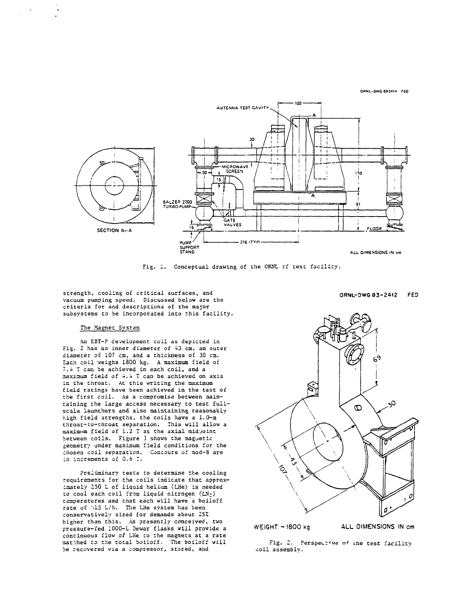**ORNL-OWG 31-2114 FEO**



Fig. 1. Conceptual drawing of the ORNL rf test facility.

strength, cooling of critical surfaces, and vacuum pumping speed. Discussed below are Che criteria for and descriptions of the major subsystems to be incorporated into this facility.

#### The Magnet System

An EBT-? development coil as depicted in rig. 2 has an inner diameter of 43 cm, an outer diameter of 107 cm, and a thickness of 30 cm. Each coil veighs 1800 kg. A maximum field of 7.4 T can be achieved in each coil, and a maximum field of 4.4 T can be achieved on axis in the throat. At this writing the maximum field ratings have been achieved in the test of the first coil. As a compromise between maintaining the large access necessary to test fullscale launchers and also maintaining reasonably high field strengths, the coils have a 1.0-m throat-to-throat separation. This will allow a maximum field of 1.2 T at the axial midpoint between coils. Figure 3 shows the magnetic geometry under maximum field conditions for the chosen coil separation. Contours of mod-3 are in increments of 0.6 I.

Preliminary tests to determine the cooling requirements for the coils indicate that approximately 250 L of liquid helium (LHe) is needed to cool each coil from liquid nitrogen  $(LN_2)$ temperatures and chac each will have a boiloff rate of "15 L/h. The LHe system has been conservatively sized for demands about 25X higher than this. As presently conceived, two pressure-fed 1000-L Dewar flasks will provide a continuous flow of LHe Co the magnets at a rate aatihed to the total boiloff. The boiioff will be recovered via a compressor, stored, and

ORNL-0WG 83-2412 FEO



WEIGHT ~1800 kg ALL DIMENSIONS IN cm

Fig. 2. Perspective of che test facility coil assemblv.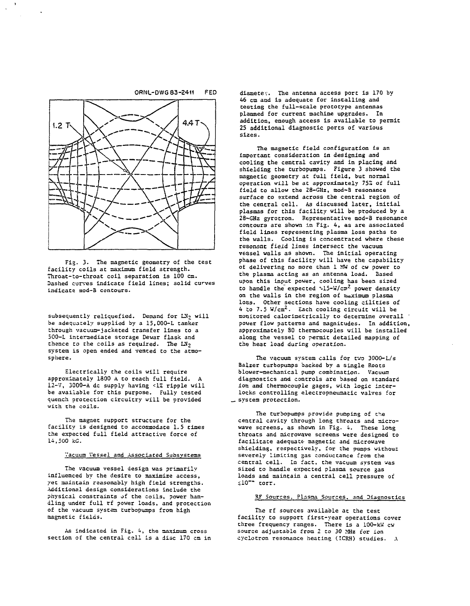## ORNL-DWG 83-2411 FED



Fig. 3. The magnetic geometry of the test facility coils at maximum field strength. Throat-to-throat coil separation is 100 cm. Dashed curves indicate field lines; solid curves indicate mod-B contours.

subsequently reliquefied. Demand for LN<sub>2</sub> will be adequately supplied by a 15,000-L tanker through vacuum-jacketed transfer lines to a 500-L intermediate storage Dewar flask and thence to the coils as required. The  $LN_2$ system is open ended and vented to the atmosphere.

Electrically the coils will require approximately 1800 A to reach full field. A 12-V, 3000-A dc supply having <1% ripple will be available for this purpose. Fully tested quench protection circuitry will be provided with the coils.

The magnet support structure for the facility is designed to accommodace 1.5 times Che expected full field attractive force of 14,500 kG.

#### Vacuum Vessel and Associated Subsystems

The vacuum vessel design was primarily influenced by the desire to maximize access, yet maintain reasonably high field strengths. Additional design considerations include the physical constraints of the coils, power handling under full rf power loads, and protection of the vacuum system turbopumps from high magnetic fields.

is indicated in Fig. 4, the maximum cross section of the central call is a disc 170 cm in diamete?. The antenna access port is 170 by 46 cm and is adequate for installing and testing the full-scale prototype antennas planned for current machine upgrades. In addition, enough access is available to permit 25 additional diagnostic ports of various sizes.

The magnetic field configuration is an important consideration in designing and cooling the central cavity and in placing and shielding the turbopumps. Figure 3 showed the magnetic geometry ac full field, but normal operacion will be at approximately 752 of full field to allow the 28-GHz, mod-B resonance surface to extend across the central region of the central cell. As discussed later, initial plasmas for this facility will be produced by a 28~GHz gyrotron. Representative mod-B resonance contours are shown in Fig. 4, as are associated field lines representing plasma loss paths to the walls. Cooling is concentrated where these resonant field lines intersect the vacuum vessel walls as shown. The initial operating phase of this facility will have the capability of delivering no more than 1 MW of cw power to the plasma acting as an antenna load. Based upon this input power, cooling has been sized to handle the expected  $\sqrt{15-k/cm^2}$  power density on the walls in the region of maximum plasma loss. Other sections have cooling cilities of 4 to  $7.5$  W/cm<sup>2</sup>. Each cooling circuit will be monitored calorimetrically to determine overall ' pover flow patterns and magnitudes. In addition, approximately 80 thermocouples will be installed along the vessel to permit detailed mapping of the heat load during operation.

The vacuum system calls for tvo 3000-L/s Balzer turbopumps backed by a single Roots blower-mechanical pump combination. Vacuum diagnostics and controls are based on standard ion and thermocouple gages, with logic interlocks controlling eleccropneumacic valves for . system protection.

The turbopumps provide pumping of che central cavity through long throats and microwave screens, as shown in Fig. 4. These long throats and microwave screens were designed to facilitate adequate magnetic and microwave shielding, respectively, for the pumps without severely limiting gas conductance from the central cell. In tact, the vacuum system was sized to handle expected plasma source gas loads and maintain a central cell pressure of  $$10^{-4}$$  torr.

### RF Sources, Plasma Sources, and Diagnostics

The rf sources available at the test facility to support first-year operations cover three frequency ranges. There is a 100-kW cw source adjustable from 2 to 30 MHz for ion cyclotron resonance heating (ICKH) studies. A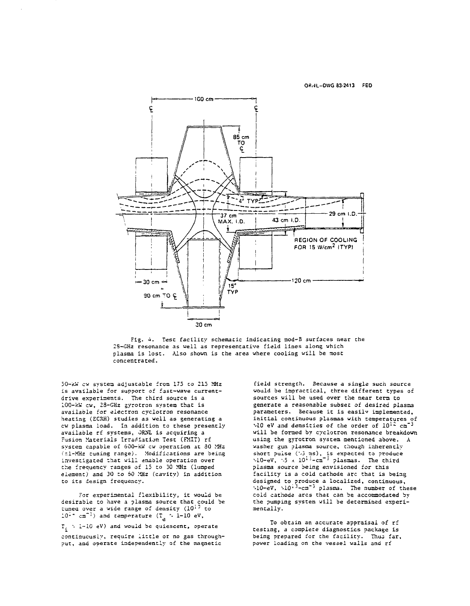

rig. 4. Tesc facility schematic indicating mod-B surfaces near the 2S-GK2 resonance as well as representative field lines along which plasma is lost. Also shown is the area where cooling will be most concentrated.

50-kW cw system adjustable from 175 to 215 MHz is available for support of fast-wave currentdrive experiments. The third source is a 100-kW cw, 28-GHz gyrotran system that is available for electron cyclotron resonance heating (ECSH) studies as well as generating a cw plasma load. In addition to these presently available rf systems, ORNL is acquiring a Fusion Materials Irradiation Test (FMIT) rf system capable of 600-kW cw operation at 30 MHz (fl-MHz tuning range). Modifications are being investigated chat will enable operation over the frequency ranges of 15 to 30 MHz (lumped element) and JO zo 60 MHz (cavity) in addition to its design frequency.

For experimental flexibility, it would be desirable to have a plasma source that could be<br>tuned over a wide range of density (10<sup>10</sup> to  $10^{14}$  cm<sup>-1</sup>) and temperature ( $T_a \sim 1-10$  eV,

 $T_i > i+10$  eV) and would be quiescent, operate

continuously, require little or no gas throughput, and operate independently af the magnetic

field screngch. Because a single such source would be impractical, three different types of sources will be used over the near tera to generate a reasonable subset of desired plasma parameters. Because it is easilv implemented, initial continuous plasmas with temperatures of '10 eV and densities of the order of  $10^{12}$   $cm^{-3}$ will be formed by cyclotron resonance breakdown using the gyrotron system mentioned above. A washer gun plasaa source, chough inherently short puise (~3 ms), is expected to produce<br>~10-eV, ~5 x 10<sup>13</sup>-cm<sup>-3</sup> plasmas. The third plasma source being envisioned for this facility is a cold cathode arc that is being designed to produce a localized, continuous,<br>~10-eV, ~10<sup>:3</sup>-cm<sup>-3</sup> plasma. The number of these cold cachode arcs that can be accommodated by the pumping system will be determined experimentally.

To obtain an accurate appraisal of rf testing, a complete diagnostics package is being prepared for the facility. Thus far, power loading on the vessel walls and rf